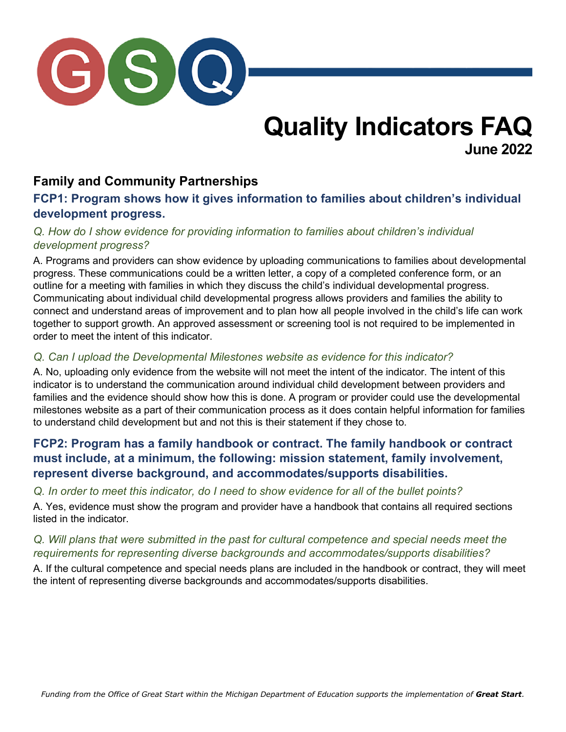

# **Quality Indicators FAQ June 2022**

# **Family and Community Partnerships**

### **FCP1: Program shows how it gives information to families about children's individual development progress.**

### *Q. How do I show evidence for providing information to families about children's individual development progress?*

A. Programs and providers can show evidence by uploading communications to families about developmental progress. These communications could be a written letter, a copy of a completed conference form, or an outline for a meeting with families in which they discuss the child's individual developmental progress. Communicating about individual child developmental progress allows providers and families the ability to connect and understand areas of improvement and to plan how all people involved in the child's life can work together to support growth. An approved assessment or screening tool is not required to be implemented in order to meet the intent of this indicator.

### *Q. Can I upload the Developmental Milestones website as evidence for this indicator?*

A. No, uploading only evidence from the website will not meet the intent of the indicator. The intent of this indicator is to understand the communication around individual child development between providers and families and the evidence should show how this is done. A program or provider could use the developmental milestones website as a part of their communication process as it does contain helpful information for families to understand child development but and not this is their statement if they chose to.

# **FCP2: Program has a family handbook or contract. The family handbook or contract must include, at a minimum, the following: mission statement, family involvement, represent diverse background, and accommodates/supports disabilities.**

*Q. In order to meet this indicator, do I need to show evidence for all of the bullet points?*

A. Yes, evidence must show the program and provider have a handbook that contains all required sections listed in the indicator.

### *Q. Will plans that were submitted in the past for cultural competence and special needs meet the requirements for representing diverse backgrounds and accommodates/supports disabilities?*

A. If the cultural competence and special needs plans are included in the handbook or contract, they will meet the intent of representing diverse backgrounds and accommodates/supports disabilities.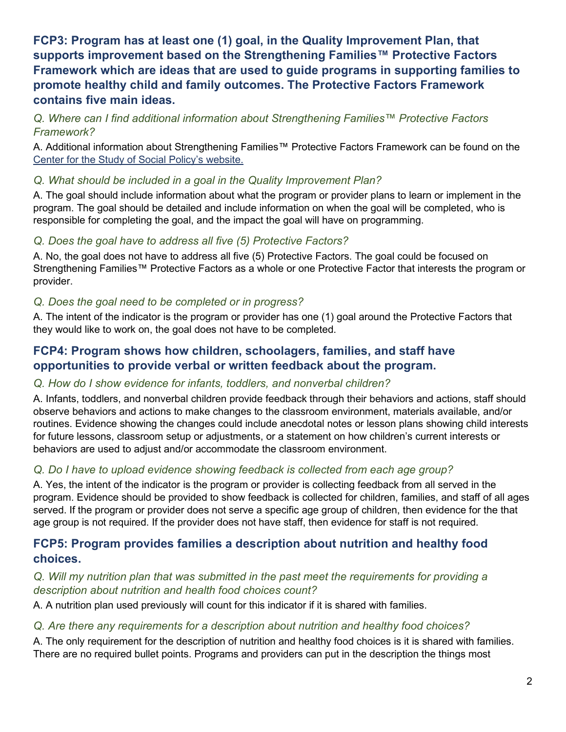# **FCP3: Program has at least one (1) goal, in the Quality Improvement Plan, that supports improvement based on the Strengthening Families™ Protective Factors Framework which are ideas that are used to guide programs in supporting families to promote healthy child and family outcomes. The Protective Factors Framework contains five main ideas.**

### *Q. Where can I find additional information about Strengthening Families™ Protective Factors Framework?*

A. Additional information about Strengthening Families™ Protective Factors Framework can be found on the [Center for the Study of Social Policy's](https://cssp.org/our-work/project/strengthening-families/) website.

### *Q. What should be included in a goal in the Quality Improvement Plan?*

A. The goal should include information about what the program or provider plans to learn or implement in the program. The goal should be detailed and include information on when the goal will be completed, who is responsible for completing the goal, and the impact the goal will have on programming.

### *Q. Does the goal have to address all five (5) Protective Factors?*

A. No, the goal does not have to address all five (5) Protective Factors. The goal could be focused on Strengthening Families™ Protective Factors as a whole or one Protective Factor that interests the program or provider.

### *Q. Does the goal need to be completed or in progress?*

A. The intent of the indicator is the program or provider has one (1) goal around the Protective Factors that they would like to work on, the goal does not have to be completed.

### **FCP4: Program shows how children, schoolagers, families, and staff have opportunities to provide verbal or written feedback about the program.**

### *Q. How do I show evidence for infants, toddlers, and nonverbal children?*

A. Infants, toddlers, and nonverbal children provide feedback through their behaviors and actions, staff should observe behaviors and actions to make changes to the classroom environment, materials available, and/or routines. Evidence showing the changes could include anecdotal notes or lesson plans showing child interests for future lessons, classroom setup or adjustments, or a statement on how children's current interests or behaviors are used to adjust and/or accommodate the classroom environment.

### *Q. Do I have to upload evidence showing feedback is collected from each age group?*

A. Yes, the intent of the indicator is the program or provider is collecting feedback from all served in the program. Evidence should be provided to show feedback is collected for children, families, and staff of all ages served. If the program or provider does not serve a specific age group of children, then evidence for the that age group is not required. If the provider does not have staff, then evidence for staff is not required.

# **FCP5: Program provides families a description about nutrition and healthy food choices.**

### *Q. Will my nutrition plan that was submitted in the past meet the requirements for providing a description about nutrition and health food choices count?*

A. A nutrition plan used previously will count for this indicator if it is shared with families.

### *Q. Are there any requirements for a description about nutrition and healthy food choices?*

A. The only requirement for the description of nutrition and healthy food choices is it is shared with families. There are no required bullet points. Programs and providers can put in the description the things most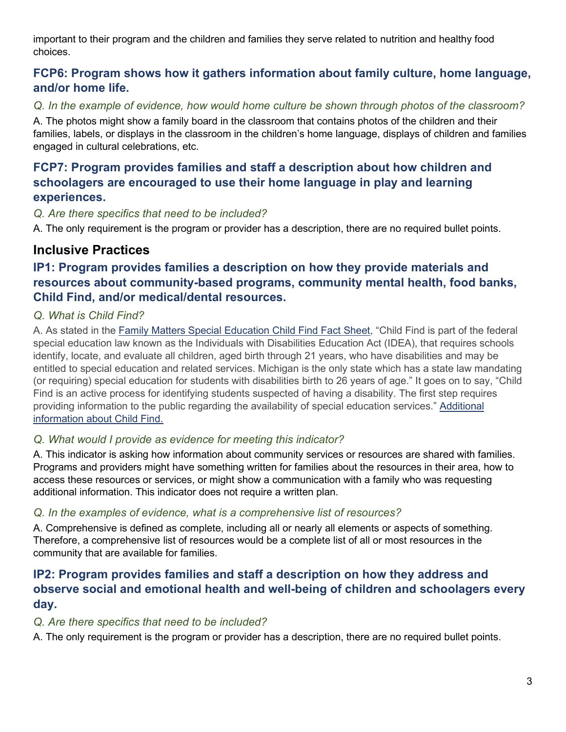important to their program and the children and families they serve related to nutrition and healthy food choices.

# **FCP6: Program shows how it gathers information about family culture, home language, and/or home life.**

*Q. In the example of evidence, how would home culture be shown through photos of the classroom?*

A. The photos might show a family board in the classroom that contains photos of the children and their families, labels, or displays in the classroom in the children's home language, displays of children and families engaged in cultural celebrations, etc.

# **FCP7: Program provides families and staff a description about how children and schoolagers are encouraged to use their home language in play and learning experiences.**

### *Q. Are there specifics that need to be included?*

A. The only requirement is the program or provider has a description, there are no required bullet points.

# **Inclusive Practices**

# **IP1: Program provides families a description on how they provide materials and resources about community-based programs, community mental health, food banks, Child Find, and/or medical/dental resources.**

### *Q. What is Child Find?*

A. As stated in the [Family Matters Special Education Child Find Fact Sheet,](https://www.michigan.gov/documents/mde/ChildFind_FactSheet_728496_7.pdf) "Child Find is part of the federal special education law known as the Individuals with Disabilities Education Act (IDEA), that requires schools identify, locate, and evaluate all children, aged birth through 21 years, who have disabilities and may be entitled to special education and related services. Michigan is the only state which has a state law mandating (or requiring) special education for students with disabilities birth to 26 years of age." It goes on to say, "Child Find is an active process for identifying students suspected of having a disability. The first step requires providing information to the public regarding the availability of special education services." Additional [information about Child Find.](https://www.michiganallianceforfamilies.org/child-find/)

### *Q. What would I provide as evidence for meeting this indicator?*

A. This indicator is asking how information about community services or resources are shared with families. Programs and providers might have something written for families about the resources in their area, how to access these resources or services, or might show a communication with a family who was requesting additional information. This indicator does not require a written plan.

### *Q. In the examples of evidence, what is a comprehensive list of resources?*

A. Comprehensive is defined as complete, including all or nearly all elements or aspects of something. Therefore, a comprehensive list of resources would be a complete list of all or most resources in the community that are available for families.

# **IP2: Program provides families and staff a description on how they address and observe social and emotional health and well-being of children and schoolagers every day.**

### *Q. Are there specifics that need to be included?*

A. The only requirement is the program or provider has a description, there are no required bullet points.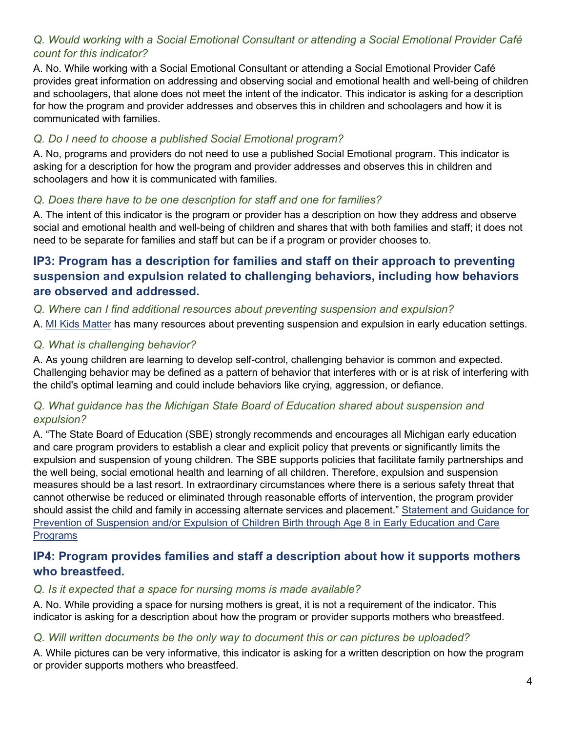### *Q. Would working with a Social Emotional Consultant or attending a Social Emotional Provider Café count for this indicator?*

A. No. While working with a Social Emotional Consultant or attending a Social Emotional Provider Café provides great information on addressing and observing social and emotional health and well-being of children and schoolagers, that alone does not meet the intent of the indicator. This indicator is asking for a description for how the program and provider addresses and observes this in children and schoolagers and how it is communicated with families.

### *Q. Do I need to choose a published Social Emotional program?*

A. No, programs and providers do not need to use a published Social Emotional program. This indicator is asking for a description for how the program and provider addresses and observes this in children and schoolagers and how it is communicated with families.

### *Q. Does there have to be one description for staff and one for families?*

A. The intent of this indicator is the program or provider has a description on how they address and observe social and emotional health and well-being of children and shares that with both families and staff; it does not need to be separate for families and staff but can be if a program or provider chooses to.

### **IP3: Program has a description for families and staff on their approach to preventing suspension and expulsion related to challenging behaviors, including how behaviors are observed and addressed.**

#### *Q. Where can I find additional resources about preventing suspension and expulsion?*

A. MI Kids [Matter](https://www.michigan.gov/mikidsmatter/) has many resources about preventing suspension and expulsion in early education settings.

#### *Q. What is challenging behavior?*

A. As young children are learning to develop self-control, challenging behavior is common and expected. Challenging behavior may be defined as a pattern of behavior that interferes with or is at risk of interfering with the child's optimal learning and could include behaviors like crying, aggression, or defiance.

### *Q. What guidance has the Michigan State Board of Education shared about suspension and expulsion?*

A. "The State Board of Education (SBE) strongly recommends and encourages all Michigan early education and care program providers to establish a clear and explicit policy that prevents or significantly limits the expulsion and suspension of young children. The SBE supports policies that facilitate family partnerships and the well being, social emotional health and learning of all children. Therefore, expulsion and suspension measures should be a last resort. In extraordinary circumstances where there is a serious safety threat that cannot otherwise be reduced or eliminated through reasonable efforts of intervention, the program provider should assist the child and family in accessing alternate services and placement." [Statement and Guidance for](https://www.michigan.gov/mikidsmatter/-/media/Project/Websites/mde/ogs/suspension/suspensionpolicy.pdf?rev=4be09254a56c4ef6a1cc4c322ef6b817&hash=45DEB5191E8A2BD2404748377CF951F1)  [Prevention of Suspension and/or Expulsion of Children Birth through Age 8 in Early Education and Care](https://www.michigan.gov/mikidsmatter/-/media/Project/Websites/mde/ogs/suspension/suspensionpolicy.pdf?rev=4be09254a56c4ef6a1cc4c322ef6b817&hash=45DEB5191E8A2BD2404748377CF951F1)  **Programs** 

### **IP4: Program provides families and staff a description about how it supports mothers who breastfeed.**

#### *Q. Is it expected that a space for nursing moms is made available?*

A. No. While providing a space for nursing mothers is great, it is not a requirement of the indicator. This indicator is asking for a description about how the program or provider supports mothers who breastfeed.

#### *Q. Will written documents be the only way to document this or can pictures be uploaded?*

A. While pictures can be very informative, this indicator is asking for a written description on how the program or provider supports mothers who breastfeed.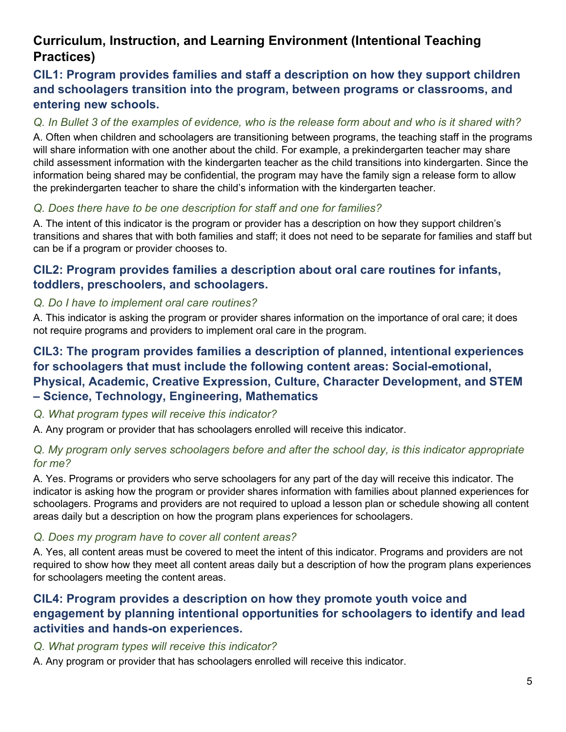# **Curriculum, Instruction, and Learning Environment (Intentional Teaching Practices)**

# **CIL1: Program provides families and staff a description on how they support children and schoolagers transition into the program, between programs or classrooms, and entering new schools.**

### *Q. In Bullet 3 of the examples of evidence, who is the release form about and who is it shared with?*

A. Often when children and schoolagers are transitioning between programs, the teaching staff in the programs will share information with one another about the child. For example, a prekindergarten teacher may share child assessment information with the kindergarten teacher as the child transitions into kindergarten. Since the information being shared may be confidential, the program may have the family sign a release form to allow the prekindergarten teacher to share the child's information with the kindergarten teacher.

### *Q. Does there have to be one description for staff and one for families?*

A. The intent of this indicator is the program or provider has a description on how they support children's transitions and shares that with both families and staff; it does not need to be separate for families and staff but can be if a program or provider chooses to.

### **CIL2: Program provides families a description about oral care routines for infants, toddlers, preschoolers, and schoolagers.**

### *Q. Do I have to implement oral care routines?*

A. This indicator is asking the program or provider shares information on the importance of oral care; it does not require programs and providers to implement oral care in the program.

# **CIL3: The program provides families a description of planned, intentional experiences for schoolagers that must include the following content areas: Social-emotional, Physical, Academic, Creative Expression, Culture, Character Development, and STEM – Science, Technology, Engineering, Mathematics**

#### *Q. What program types will receive this indicator?*

A. Any program or provider that has schoolagers enrolled will receive this indicator.

### *Q. My program only serves schoolagers before and after the school day, is this indicator appropriate for me?*

A. Yes. Programs or providers who serve schoolagers for any part of the day will receive this indicator. The indicator is asking how the program or provider shares information with families about planned experiences for schoolagers. Programs and providers are not required to upload a lesson plan or schedule showing all content areas daily but a description on how the program plans experiences for schoolagers.

#### *Q. Does my program have to cover all content areas?*

A. Yes, all content areas must be covered to meet the intent of this indicator. Programs and providers are not required to show how they meet all content areas daily but a description of how the program plans experiences for schoolagers meeting the content areas.

### **CIL4: Program provides a description on how they promote youth voice and engagement by planning intentional opportunities for schoolagers to identify and lead activities and hands-on experiences.**

#### *Q. What program types will receive this indicator?*

A. Any program or provider that has schoolagers enrolled will receive this indicator.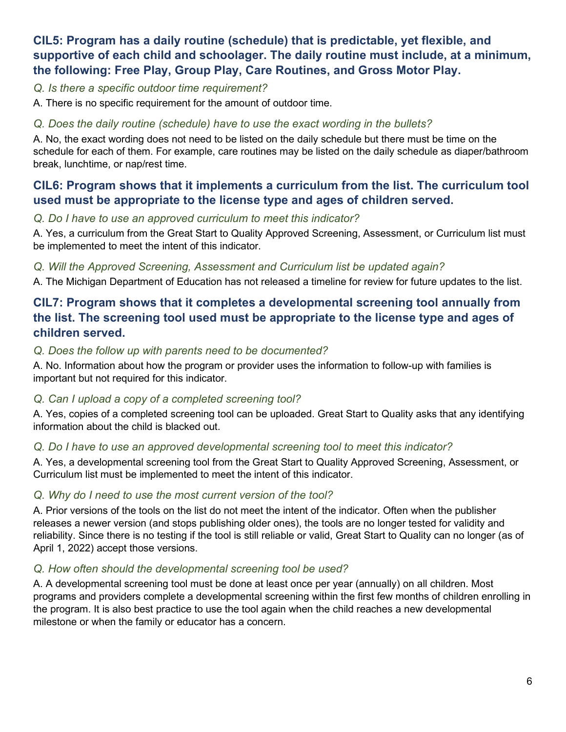# **CIL5: Program has a daily routine (schedule) that is predictable, yet flexible, and supportive of each child and schoolager. The daily routine must include, at a minimum, the following: Free Play, Group Play, Care Routines, and Gross Motor Play.**

*Q. Is there a specific outdoor time requirement?*

A. There is no specific requirement for the amount of outdoor time.

### *Q. Does the daily routine (schedule) have to use the exact wording in the bullets?*

A. No, the exact wording does not need to be listed on the daily schedule but there must be time on the schedule for each of them. For example, care routines may be listed on the daily schedule as diaper/bathroom break, lunchtime, or nap/rest time.

### **CIL6: Program shows that it implements a curriculum from the list. The curriculum tool used must be appropriate to the license type and ages of children served.**

#### *Q. Do I have to use an approved curriculum to meet this indicator?*

A. Yes, a curriculum from the Great Start to Quality Approved Screening, Assessment, or Curriculum list must be implemented to meet the intent of this indicator.

### *Q. Will the Approved Screening, Assessment and Curriculum list be updated again?*

A. The Michigan Department of Education has not released a timeline for review for future updates to the list.

# **CIL7: Program shows that it completes a developmental screening tool annually from the list. The screening tool used must be appropriate to the license type and ages of children served.**

### *Q. Does the follow up with parents need to be documented?*

A. No. Information about how the program or provider uses the information to follow-up with families is important but not required for this indicator.

### *Q. Can I upload a copy of a completed screening tool?*

A. Yes, copies of a completed screening tool can be uploaded. Great Start to Quality asks that any identifying information about the child is blacked out.

### *Q. Do I have to use an approved developmental screening tool to meet this indicator?*

A. Yes, a developmental screening tool from the Great Start to Quality Approved Screening, Assessment, or Curriculum list must be implemented to meet the intent of this indicator.

### *Q. Why do I need to use the most current version of the tool?*

A. Prior versions of the tools on the list do not meet the intent of the indicator. Often when the publisher releases a newer version (and stops publishing older ones), the tools are no longer tested for validity and reliability. Since there is no testing if the tool is still reliable or valid, Great Start to Quality can no longer (as of April 1, 2022) accept those versions.

### *Q. How often should the developmental screening tool be used?*

A. A developmental screening tool must be done at least once per year (annually) on all children. Most programs and providers complete a developmental screening within the first few months of children enrolling in the program. It is also best practice to use the tool again when the child reaches a new developmental milestone or when the family or educator has a concern.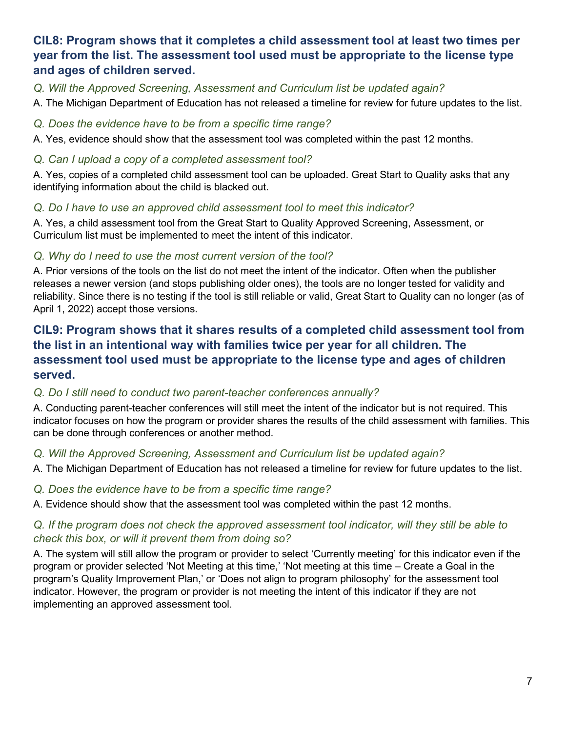# **CIL8: Program shows that it completes a child assessment tool at least two times per year from the list. The assessment tool used must be appropriate to the license type and ages of children served.**

*Q. Will the Approved Screening, Assessment and Curriculum list be updated again?*

A. The Michigan Department of Education has not released a timeline for review for future updates to the list.

#### *Q. Does the evidence have to be from a specific time range?*

A. Yes, evidence should show that the assessment tool was completed within the past 12 months.

### *Q. Can I upload a copy of a completed assessment tool?*

A. Yes, copies of a completed child assessment tool can be uploaded. Great Start to Quality asks that any identifying information about the child is blacked out.

### *Q. Do I have to use an approved child assessment tool to meet this indicator?*

A. Yes, a child assessment tool from the Great Start to Quality Approved Screening, Assessment, or Curriculum list must be implemented to meet the intent of this indicator.

### *Q. Why do I need to use the most current version of the tool?*

A. Prior versions of the tools on the list do not meet the intent of the indicator. Often when the publisher releases a newer version (and stops publishing older ones), the tools are no longer tested for validity and reliability. Since there is no testing if the tool is still reliable or valid, Great Start to Quality can no longer (as of April 1, 2022) accept those versions.

# **CIL9: Program shows that it shares results of a completed child assessment tool from the list in an intentional way with families twice per year for all children. The assessment tool used must be appropriate to the license type and ages of children served.**

### *Q. Do I still need to conduct two parent-teacher conferences annually?*

A. Conducting parent-teacher conferences will still meet the intent of the indicator but is not required. This indicator focuses on how the program or provider shares the results of the child assessment with families. This can be done through conferences or another method.

### *Q. Will the Approved Screening, Assessment and Curriculum list be updated again?*

A. The Michigan Department of Education has not released a timeline for review for future updates to the list.

#### *Q. Does the evidence have to be from a specific time range?*

A. Evidence should show that the assessment tool was completed within the past 12 months.

### *Q. If the program does not check the approved assessment tool indicator, will they still be able to check this box, or will it prevent them from doing so?*

A. The system will still allow the program or provider to select 'Currently meeting' for this indicator even if the program or provider selected 'Not Meeting at this time,' 'Not meeting at this time – Create a Goal in the program's Quality Improvement Plan,' or 'Does not align to program philosophy' for the assessment tool indicator. However, the program or provider is not meeting the intent of this indicator if they are not implementing an approved assessment tool.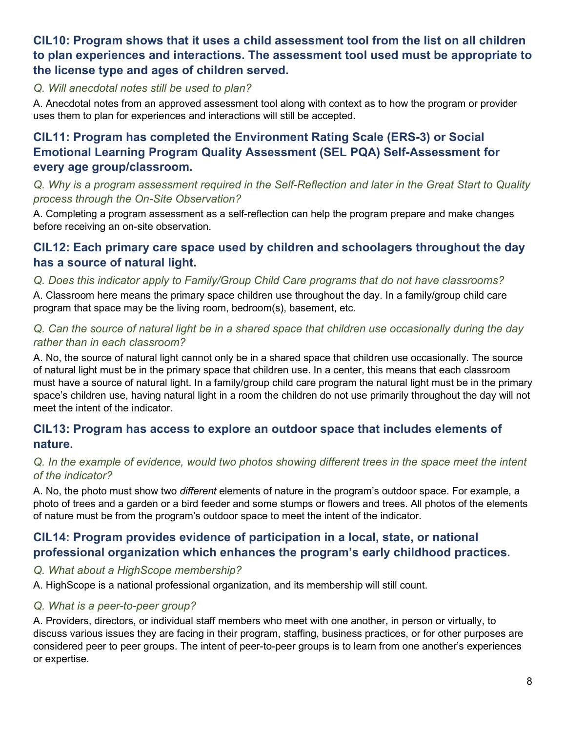# **CIL10: Program shows that it uses a child assessment tool from the list on all children to plan experiences and interactions. The assessment tool used must be appropriate to the license type and ages of children served.**

#### *Q. Will anecdotal notes still be used to plan?*

A. Anecdotal notes from an approved assessment tool along with context as to how the program or provider uses them to plan for experiences and interactions will still be accepted.

# **CIL11: Program has completed the Environment Rating Scale (ERS-3) or Social Emotional Learning Program Quality Assessment (SEL PQA) Self-Assessment for every age group/classroom.**

*Q. Why is a program assessment required in the Self-Reflection and later in the Great Start to Quality process through the On-Site Observation?* 

A. Completing a program assessment as a self-reflection can help the program prepare and make changes before receiving an on-site observation.

### **CIL12: Each primary care space used by children and schoolagers throughout the day has a source of natural light.**

### *Q. Does this indicator apply to Family/Group Child Care programs that do not have classrooms?*

A. Classroom here means the primary space children use throughout the day. In a family/group child care program that space may be the living room, bedroom(s), basement, etc.

### *Q. Can the source of natural light be in a shared space that children use occasionally during the day rather than in each classroom?*

A. No, the source of natural light cannot only be in a shared space that children use occasionally. The source of natural light must be in the primary space that children use. In a center, this means that each classroom must have a source of natural light. In a family/group child care program the natural light must be in the primary space's children use, having natural light in a room the children do not use primarily throughout the day will not meet the intent of the indicator.

# **CIL13: Program has access to explore an outdoor space that includes elements of nature.**

### *Q. In the example of evidence, would two photos showing different trees in the space meet the intent of the indicator?*

A. No, the photo must show two *different* elements of nature in the program's outdoor space. For example, a photo of trees and a garden or a bird feeder and some stumps or flowers and trees. All photos of the elements of nature must be from the program's outdoor space to meet the intent of the indicator.

# **CIL14: Program provides evidence of participation in a local, state, or national professional organization which enhances the program's early childhood practices.**

### *Q. What about a HighScope membership?*

A. HighScope is a national professional organization, and its membership will still count.

### *Q. What is a peer-to-peer group?*

A. Providers, directors, or individual staff members who meet with one another, in person or virtually, to discuss various issues they are facing in their program, staffing, business practices, or for other purposes are considered peer to peer groups. The intent of peer-to-peer groups is to learn from one another's experiences or expertise.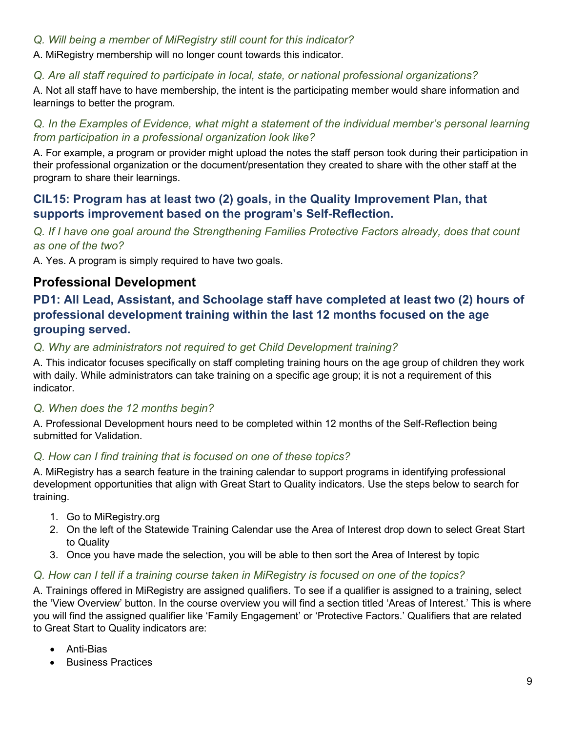### *Q. Will being a member of MiRegistry still count for this indicator?*

A. MiRegistry membership will no longer count towards this indicator.

### *Q. Are all staff required to participate in local, state, or national professional organizations?*

A. Not all staff have to have membership, the intent is the participating member would share information and learnings to better the program.

### *Q. In the Examples of Evidence, what might a statement of the individual member's personal learning from participation in a professional organization look like?*

A. For example, a program or provider might upload the notes the staff person took during their participation in their professional organization or the document/presentation they created to share with the other staff at the program to share their learnings.

### **CIL15: Program has at least two (2) goals, in the Quality Improvement Plan, that supports improvement based on the program's Self-Reflection.**

*Q. If I have one goal around the Strengthening Families Protective Factors already, does that count as one of the two?* 

A. Yes. A program is simply required to have two goals.

# **Professional Development**

# **PD1: All Lead, Assistant, and Schoolage staff have completed at least two (2) hours of professional development training within the last 12 months focused on the age grouping served.**

### *Q. Why are administrators not required to get Child Development training?*

A. This indicator focuses specifically on staff completing training hours on the age group of children they work with daily. While administrators can take training on a specific age group; it is not a requirement of this indicator.

#### *Q. When does the 12 months begin?*

A. Professional Development hours need to be completed within 12 months of the Self-Reflection being submitted for Validation.

### *Q. How can I find training that is focused on one of these topics?*

A. MiRegistry has a search feature in the training calendar to support programs in identifying professional development opportunities that align with Great Start to Quality indicators. Use the steps below to search for training.

- 1. Go to MiRegistry.org
- 2. On the left of the Statewide Training Calendar use the Area of Interest drop down to select Great Start to Quality
- 3. Once you have made the selection, you will be able to then sort the Area of Interest by topic

### *Q. How can I tell if a training course taken in MiRegistry is focused on one of the topics?*

A. Trainings offered in MiRegistry are assigned qualifiers. To see if a qualifier is assigned to a training, select the 'View Overview' button. In the course overview you will find a section titled 'Areas of Interest.' This is where you will find the assigned qualifier like 'Family Engagement' or 'Protective Factors.' Qualifiers that are related to Great Start to Quality indicators are:

- Anti-Bias
- Business Practices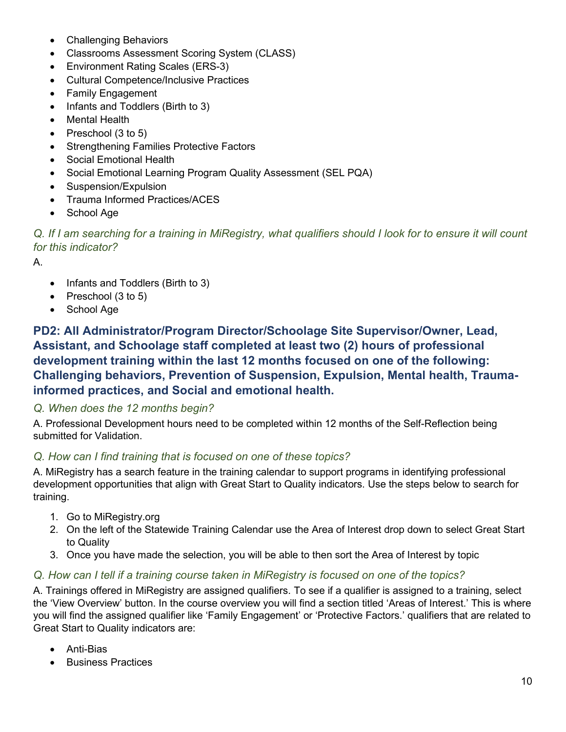- Challenging Behaviors
- Classrooms Assessment Scoring System (CLASS)
- Environment Rating Scales (ERS-3)
- Cultural Competence/Inclusive Practices
- Family Engagement
- Infants and Toddlers (Birth to 3)
- Mental Health
- Preschool (3 to 5)
- Strengthening Families Protective Factors
- Social Emotional Health
- Social Emotional Learning Program Quality Assessment (SEL PQA)
- Suspension/Expulsion
- Trauma Informed Practices/ACES
- School Age

*Q. If I am searching for a training in MiRegistry, what qualifiers should I look for to ensure it will count for this indicator?*

A.

- Infants and Toddlers (Birth to 3)
- Preschool (3 to 5)
- School Age

**PD2: All Administrator/Program Director/Schoolage Site Supervisor/Owner, Lead, Assistant, and Schoolage staff completed at least two (2) hours of professional development training within the last 12 months focused on one of the following: Challenging behaviors, Prevention of Suspension, Expulsion, Mental health, Traumainformed practices, and Social and emotional health.**

#### *Q. When does the 12 months begin?*

A. Professional Development hours need to be completed within 12 months of the Self-Reflection being submitted for Validation.

#### *Q. How can I find training that is focused on one of these topics?*

A. MiRegistry has a search feature in the training calendar to support programs in identifying professional development opportunities that align with Great Start to Quality indicators. Use the steps below to search for training.

- 1. Go to MiRegistry.org
- 2. On the left of the Statewide Training Calendar use the Area of Interest drop down to select Great Start to Quality
- 3. Once you have made the selection, you will be able to then sort the Area of Interest by topic

### *Q. How can I tell if a training course taken in MiRegistry is focused on one of the topics?*

A. Trainings offered in MiRegistry are assigned qualifiers. To see if a qualifier is assigned to a training, select the 'View Overview' button. In the course overview you will find a section titled 'Areas of Interest.' This is where you will find the assigned qualifier like 'Family Engagement' or 'Protective Factors.' qualifiers that are related to Great Start to Quality indicators are:

- Anti-Bias
- Business Practices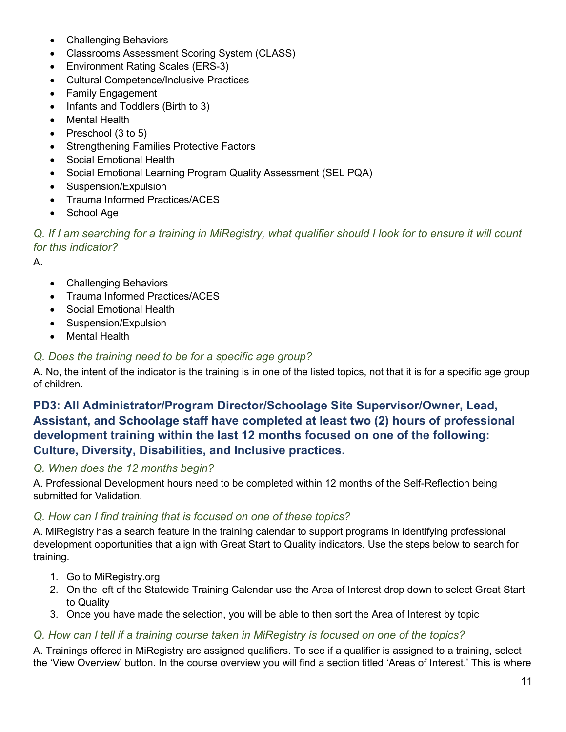- Challenging Behaviors
- Classrooms Assessment Scoring System (CLASS)
- Environment Rating Scales (ERS-3)
- Cultural Competence/Inclusive Practices
- Family Engagement
- Infants and Toddlers (Birth to 3)
- Mental Health
- Preschool (3 to 5)
- Strengthening Families Protective Factors
- Social Emotional Health
- Social Emotional Learning Program Quality Assessment (SEL PQA)
- Suspension/Expulsion
- Trauma Informed Practices/ACES
- School Age

*Q. If I am searching for a training in MiRegistry, what qualifier should I look for to ensure it will count for this indicator?*

A.

- Challenging Behaviors
- Trauma Informed Practices/ACES
- Social Emotional Health
- Suspension/Expulsion
- Mental Health

#### *Q. Does the training need to be for a specific age group?*

A. No, the intent of the indicator is the training is in one of the listed topics, not that it is for a specific age group of children.

# **PD3: All Administrator/Program Director/Schoolage Site Supervisor/Owner, Lead, Assistant, and Schoolage staff have completed at least two (2) hours of professional development training within the last 12 months focused on one of the following: Culture, Diversity, Disabilities, and Inclusive practices.**

#### *Q. When does the 12 months begin?*

A. Professional Development hours need to be completed within 12 months of the Self-Reflection being submitted for Validation.

#### *Q. How can I find training that is focused on one of these topics?*

A. MiRegistry has a search feature in the training calendar to support programs in identifying professional development opportunities that align with Great Start to Quality indicators. Use the steps below to search for training.

- 1. Go to MiRegistry.org
- 2. On the left of the Statewide Training Calendar use the Area of Interest drop down to select Great Start to Quality
- 3. Once you have made the selection, you will be able to then sort the Area of Interest by topic

#### *Q. How can I tell if a training course taken in MiRegistry is focused on one of the topics?*

A. Trainings offered in MiRegistry are assigned qualifiers. To see if a qualifier is assigned to a training, select the 'View Overview' button. In the course overview you will find a section titled 'Areas of Interest.' This is where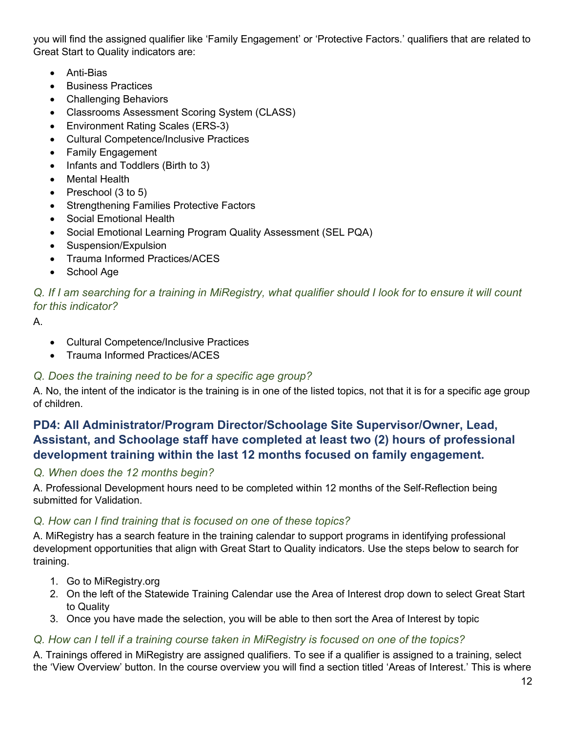you will find the assigned qualifier like 'Family Engagement' or 'Protective Factors.' qualifiers that are related to Great Start to Quality indicators are:

- Anti-Bias
- Business Practices
- Challenging Behaviors
- Classrooms Assessment Scoring System (CLASS)
- Environment Rating Scales (ERS-3)
- Cultural Competence/Inclusive Practices
- Family Engagement
- Infants and Toddlers (Birth to 3)
- **Mental Health**
- Preschool (3 to 5)
- Strengthening Families Protective Factors
- Social Emotional Health
- Social Emotional Learning Program Quality Assessment (SEL PQA)
- Suspension/Expulsion
- Trauma Informed Practices/ACES
- School Age

*Q. If I am searching for a training in MiRegistry, what qualifier should I look for to ensure it will count for this indicator?*

A.

- Cultural Competence/Inclusive Practices
- Trauma Informed Practices/ACES

### *Q. Does the training need to be for a specific age group?*

A. No, the intent of the indicator is the training is in one of the listed topics, not that it is for a specific age group of children.

# **PD4: All Administrator/Program Director/Schoolage Site Supervisor/Owner, Lead, Assistant, and Schoolage staff have completed at least two (2) hours of professional development training within the last 12 months focused on family engagement.**

### *Q. When does the 12 months begin?*

A. Professional Development hours need to be completed within 12 months of the Self-Reflection being submitted for Validation.

### *Q. How can I find training that is focused on one of these topics?*

A. MiRegistry has a search feature in the training calendar to support programs in identifying professional development opportunities that align with Great Start to Quality indicators. Use the steps below to search for training.

- 1. Go to MiRegistry.org
- 2. On the left of the Statewide Training Calendar use the Area of Interest drop down to select Great Start to Quality
- 3. Once you have made the selection, you will be able to then sort the Area of Interest by topic

### *Q. How can I tell if a training course taken in MiRegistry is focused on one of the topics?*

A. Trainings offered in MiRegistry are assigned qualifiers. To see if a qualifier is assigned to a training, select the 'View Overview' button. In the course overview you will find a section titled 'Areas of Interest.' This is where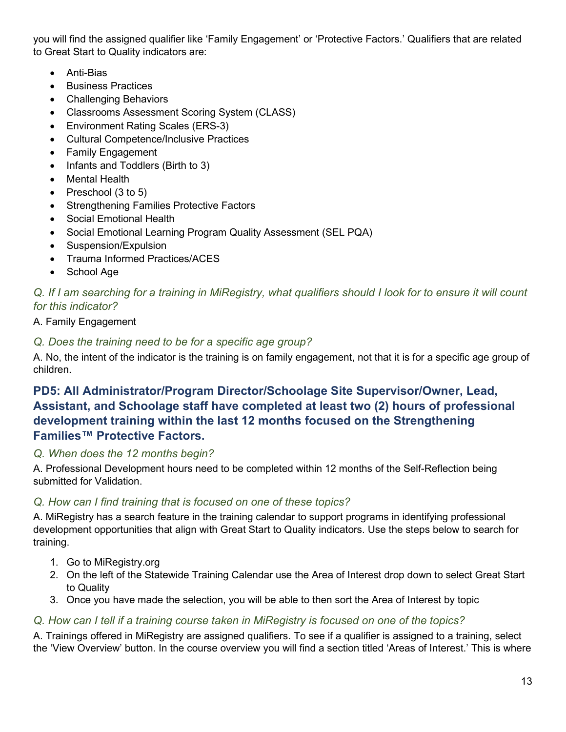you will find the assigned qualifier like 'Family Engagement' or 'Protective Factors.' Qualifiers that are related to Great Start to Quality indicators are:

- Anti-Bias
- Business Practices
- Challenging Behaviors
- Classrooms Assessment Scoring System (CLASS)
- Environment Rating Scales (ERS-3)
- Cultural Competence/Inclusive Practices
- Family Engagement
- Infants and Toddlers (Birth to 3)
- **Mental Health**
- Preschool (3 to 5)
- Strengthening Families Protective Factors
- Social Emotional Health
- Social Emotional Learning Program Quality Assessment (SEL PQA)
- Suspension/Expulsion
- Trauma Informed Practices/ACES
- School Age

### *Q. If I am searching for a training in MiRegistry, what qualifiers should I look for to ensure it will count for this indicator?*

### A. Family Engagement

### *Q. Does the training need to be for a specific age group?*

A. No, the intent of the indicator is the training is on family engagement, not that it is for a specific age group of children.

# **PD5: All Administrator/Program Director/Schoolage Site Supervisor/Owner, Lead, Assistant, and Schoolage staff have completed at least two (2) hours of professional development training within the last 12 months focused on the Strengthening Families™ Protective Factors.**

### *Q. When does the 12 months begin?*

A. Professional Development hours need to be completed within 12 months of the Self-Reflection being submitted for Validation.

### *Q. How can I find training that is focused on one of these topics?*

A. MiRegistry has a search feature in the training calendar to support programs in identifying professional development opportunities that align with Great Start to Quality indicators. Use the steps below to search for training.

- 1. Go to MiRegistry.org
- 2. On the left of the Statewide Training Calendar use the Area of Interest drop down to select Great Start to Quality
- 3. Once you have made the selection, you will be able to then sort the Area of Interest by topic

### *Q. How can I tell if a training course taken in MiRegistry is focused on one of the topics?*

A. Trainings offered in MiRegistry are assigned qualifiers. To see if a qualifier is assigned to a training, select the 'View Overview' button. In the course overview you will find a section titled 'Areas of Interest.' This is where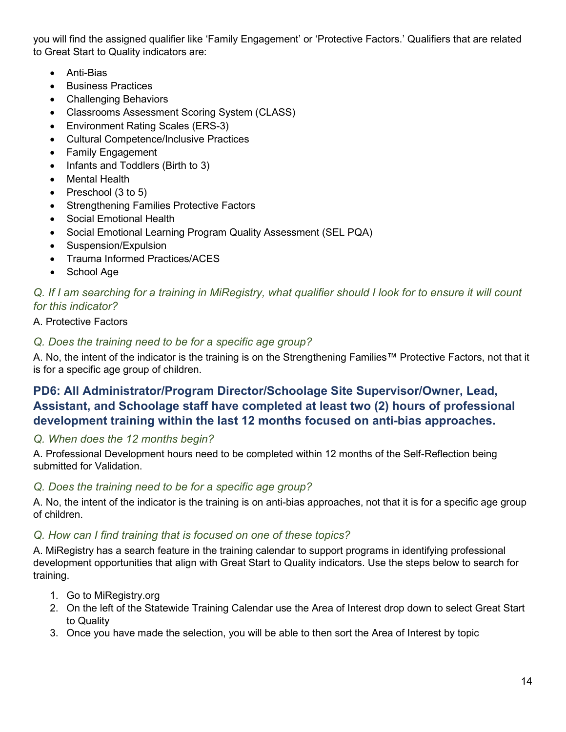you will find the assigned qualifier like 'Family Engagement' or 'Protective Factors.' Qualifiers that are related to Great Start to Quality indicators are:

- Anti-Bias
- Business Practices
- Challenging Behaviors
- Classrooms Assessment Scoring System (CLASS)
- Environment Rating Scales (ERS-3)
- Cultural Competence/Inclusive Practices
- Family Engagement
- Infants and Toddlers (Birth to 3)
- **Mental Health**
- Preschool (3 to 5)
- Strengthening Families Protective Factors
- Social Emotional Health
- Social Emotional Learning Program Quality Assessment (SEL PQA)
- Suspension/Expulsion
- Trauma Informed Practices/ACES
- School Age

### *Q. If I am searching for a training in MiRegistry, what qualifier should I look for to ensure it will count for this indicator?*

### A. Protective Factors

### *Q. Does the training need to be for a specific age group?*

A. No, the intent of the indicator is the training is on the Strengthening Families™ Protective Factors, not that it is for a specific age group of children.

# **PD6: All Administrator/Program Director/Schoolage Site Supervisor/Owner, Lead, Assistant, and Schoolage staff have completed at least two (2) hours of professional development training within the last 12 months focused on anti-bias approaches.**

#### *Q. When does the 12 months begin?*

A. Professional Development hours need to be completed within 12 months of the Self-Reflection being submitted for Validation.

#### *Q. Does the training need to be for a specific age group?*

A. No, the intent of the indicator is the training is on anti-bias approaches, not that it is for a specific age group of children.

#### *Q. How can I find training that is focused on one of these topics?*

A. MiRegistry has a search feature in the training calendar to support programs in identifying professional development opportunities that align with Great Start to Quality indicators. Use the steps below to search for training.

- 1. Go to MiRegistry.org
- 2. On the left of the Statewide Training Calendar use the Area of Interest drop down to select Great Start to Quality
- 3. Once you have made the selection, you will be able to then sort the Area of Interest by topic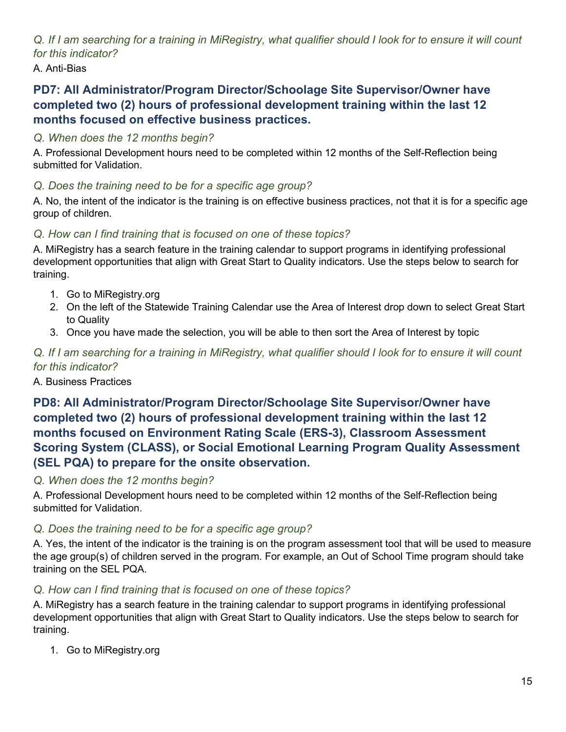*Q. If I am searching for a training in MiRegistry, what qualifier should I look for to ensure it will count for this indicator?*

A. Anti-Bias

# **PD7: All Administrator/Program Director/Schoolage Site Supervisor/Owner have completed two (2) hours of professional development training within the last 12 months focused on effective business practices.**

# *Q. When does the 12 months begin?*

A. Professional Development hours need to be completed within 12 months of the Self-Reflection being submitted for Validation.

# *Q. Does the training need to be for a specific age group?*

A. No, the intent of the indicator is the training is on effective business practices, not that it is for a specific age group of children.

# *Q. How can I find training that is focused on one of these topics?*

A. MiRegistry has a search feature in the training calendar to support programs in identifying professional development opportunities that align with Great Start to Quality indicators. Use the steps below to search for training.

- 1. Go to MiRegistry.org
- 2. On the left of the Statewide Training Calendar use the Area of Interest drop down to select Great Start to Quality
- 3. Once you have made the selection, you will be able to then sort the Area of Interest by topic

### *Q. If I am searching for a training in MiRegistry, what qualifier should I look for to ensure it will count for this indicator?*

### A. Business Practices

# **PD8: All Administrator/Program Director/Schoolage Site Supervisor/Owner have completed two (2) hours of professional development training within the last 12 months focused on Environment Rating Scale (ERS-3), Classroom Assessment Scoring System (CLASS), or Social Emotional Learning Program Quality Assessment (SEL PQA) to prepare for the onsite observation.**

### *Q. When does the 12 months begin?*

A. Professional Development hours need to be completed within 12 months of the Self-Reflection being submitted for Validation.

### *Q. Does the training need to be for a specific age group?*

A. Yes, the intent of the indicator is the training is on the program assessment tool that will be used to measure the age group(s) of children served in the program. For example, an Out of School Time program should take training on the SEL PQA.

### *Q. How can I find training that is focused on one of these topics?*

A. MiRegistry has a search feature in the training calendar to support programs in identifying professional development opportunities that align with Great Start to Quality indicators. Use the steps below to search for training.

1. Go to MiRegistry.org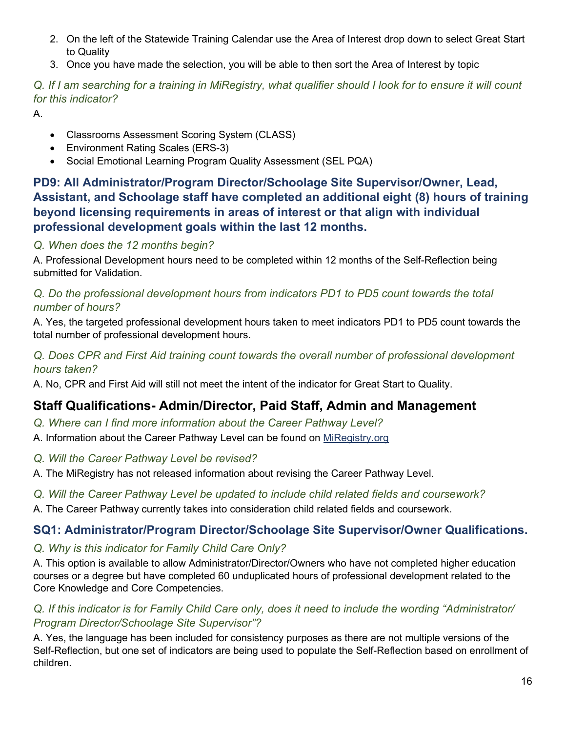- 2. On the left of the Statewide Training Calendar use the Area of Interest drop down to select Great Start to Quality
- 3. Once you have made the selection, you will be able to then sort the Area of Interest by topic

*Q. If I am searching for a training in MiRegistry, what qualifier should I look for to ensure it will count for this indicator?*

A.

- Classrooms Assessment Scoring System (CLASS)
- Environment Rating Scales (ERS-3)
- Social Emotional Learning Program Quality Assessment (SEL PQA)

# **PD9: All Administrator/Program Director/Schoolage Site Supervisor/Owner, Lead, Assistant, and Schoolage staff have completed an additional eight (8) hours of training beyond licensing requirements in areas of interest or that align with individual professional development goals within the last 12 months.**

# *Q. When does the 12 months begin?*

A. Professional Development hours need to be completed within 12 months of the Self-Reflection being submitted for Validation.

### *Q. Do the professional development hours from indicators PD1 to PD5 count towards the total number of hours?*

A. Yes, the targeted professional development hours taken to meet indicators PD1 to PD5 count towards the total number of professional development hours.

### *Q. Does CPR and First Aid training count towards the overall number of professional development hours taken?*

A. No, CPR and First Aid will still not meet the intent of the indicator for Great Start to Quality.

# **Staff Qualifications- Admin/Director, Paid Staff, Admin and Management**

- *Q. Where can I find more information about the Career Pathway Level?*
- A. Information about the Career Pathway Level can be found on [MiRegistry.org](https://www.miregistry.org/individuals/#careerpathways)
- *Q. Will the Career Pathway Level be revised?*
- A. The MiRegistry has not released information about revising the Career Pathway Level.

### *Q. Will the Career Pathway Level be updated to include child related fields and coursework?*

A. The Career Pathway currently takes into consideration child related fields and coursework.

# **SQ1: Administrator/Program Director/Schoolage Site Supervisor/Owner Qualifications.**

# *Q. Why is this indicator for Family Child Care Only?*

A. This option is available to allow Administrator/Director/Owners who have not completed higher education courses or a degree but have completed 60 unduplicated hours of professional development related to the Core Knowledge and Core Competencies.

### *Q. If this indicator is for Family Child Care only, does it need to include the wording "Administrator/ Program Director/Schoolage Site Supervisor"?*

A. Yes, the language has been included for consistency purposes as there are not multiple versions of the Self-Reflection, but one set of indicators are being used to populate the Self-Reflection based on enrollment of children.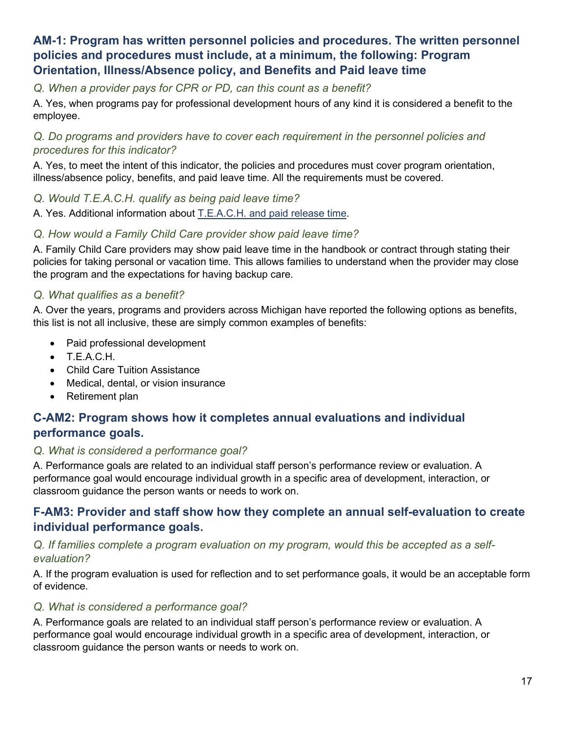### **AM-1: Program has written personnel policies and procedures. The written personnel policies and procedures must include, at a minimum, the following: Program Orientation, Illness/Absence policy, and Benefits and Paid leave time**

*Q. When a provider pays for CPR or PD, can this count as a benefit?* 

A. Yes, when programs pay for professional development hours of any kind it is considered a benefit to the employee.

### *Q. Do programs and providers have to cover each requirement in the personnel policies and procedures for this indicator?*

A. Yes, to meet the intent of this indicator, the policies and procedures must cover program orientation, illness/absence policy, benefits, and paid leave time. All the requirements must be covered.

*Q. Would T.E.A.C.H. qualify as being paid leave time?* 

A. Yes. Additional information about [T.E.A.C.H. and paid release time.](https://www.miaeyc.org/professional-development/t-e-a-c-h-scholarships/faq-from-recipients-and-sponsors/)

### *Q. How would a Family Child Care provider show paid leave time?*

A. Family Child Care providers may show paid leave time in the handbook or contract through stating their policies for taking personal or vacation time. This allows families to understand when the provider may close the program and the expectations for having backup care.

### *Q. What qualifies as a benefit?*

A. Over the years, programs and providers across Michigan have reported the following options as benefits, this list is not all inclusive, these are simply common examples of benefits:

- Paid professional development
- T.E.A.C.H.
- Child Care Tuition Assistance
- Medical, dental, or vision insurance
- Retirement plan

### **C-AM2: Program shows how it completes annual evaluations and individual performance goals.**

#### *Q. What is considered a performance goal?*

A. Performance goals are related to an individual staff person's performance review or evaluation. A performance goal would encourage individual growth in a specific area of development, interaction, or classroom guidance the person wants or needs to work on.

### **F-AM3: Provider and staff show how they complete an annual self-evaluation to create individual performance goals.**

#### *Q. If families complete a program evaluation on my program, would this be accepted as a selfevaluation?*

A. If the program evaluation is used for reflection and to set performance goals, it would be an acceptable form of evidence.

#### *Q. What is considered a performance goal?*

A. Performance goals are related to an individual staff person's performance review or evaluation. A performance goal would encourage individual growth in a specific area of development, interaction, or classroom guidance the person wants or needs to work on.